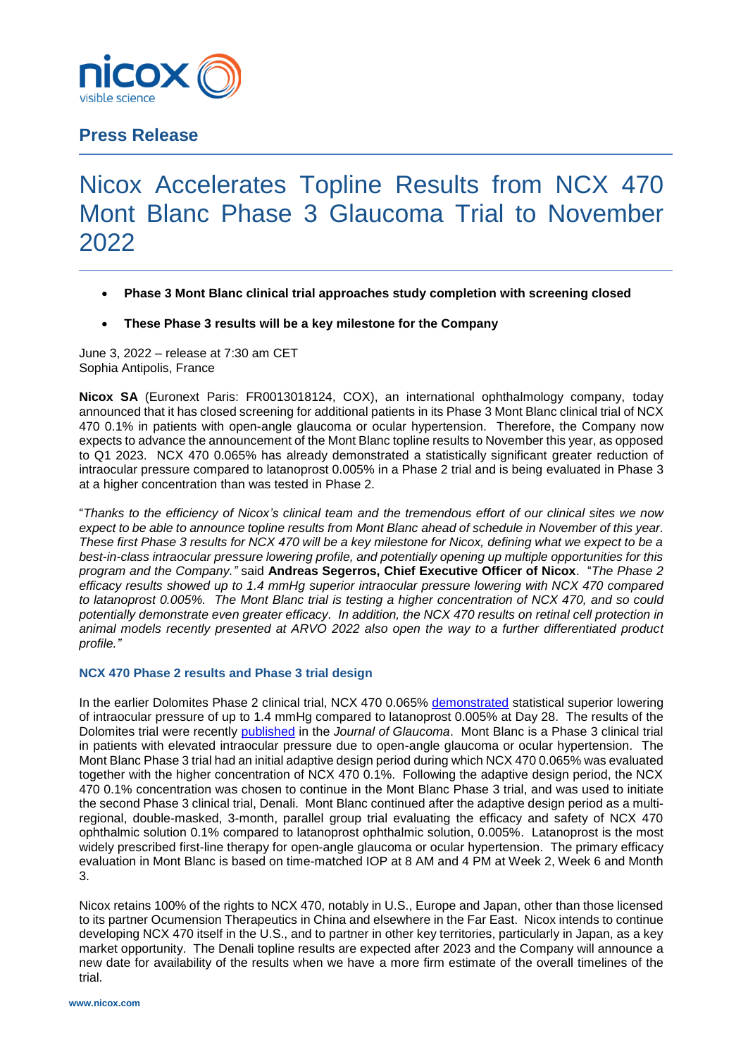

## **Press Release**

# Nicox Accelerates Topline Results from NCX 470 Mont Blanc Phase 3 Glaucoma Trial to November 2022

- **Phase 3 Mont Blanc clinical trial approaches study completion with screening closed**
- **These Phase 3 results will be a key milestone for the Company**

June 3, 2022 – release at 7:30 am CET Sophia Antipolis, France

**Nicox SA** (Euronext Paris: FR0013018124, COX), an international ophthalmology company, today announced that it has closed screening for additional patients in its Phase 3 Mont Blanc clinical trial of NCX 470 0.1% in patients with open-angle glaucoma or ocular hypertension. Therefore, the Company now expects to advance the announcement of the Mont Blanc topline results to November this year, as opposed to Q1 2023. NCX 470 0.065% has already demonstrated a statistically significant greater reduction of intraocular pressure compared to latanoprost 0.005% in a Phase 2 trial and is being evaluated in Phase 3 at a higher concentration than was tested in Phase 2.

"*Thanks to the efficiency of Nicox's clinical team and the tremendous effort of our clinical sites we now expect to be able to announce topline results from Mont Blanc ahead of schedule in November of this year. These first Phase 3 results for NCX 470 will be a key milestone for Nicox, defining what we expect to be a best-in-class intraocular pressure lowering profile, and potentially opening up multiple opportunities for this program and the Company."* said **Andreas Segerros, Chief Executive Officer of Nicox**. "*The Phase 2 efficacy results showed up to 1.4 mmHg superior intraocular pressure lowering with NCX 470 compared to latanoprost 0.005%. The Mont Blanc trial is testing a higher concentration of NCX 470, and so could potentially demonstrate even greater efficacy. In addition, the NCX 470 results on retinal cell protection in animal models recently presented at ARVO 2022 also open the way to a further differentiated product profile."*

### **NCX 470 Phase 2 results and Phase 3 trial design**

In the earlier Dolomites Phase 2 clinical trial, NCX 470 0.065% [demonstrated](https://www.nicox.com/wp-content/uploads/EN_NCX-470-Additional-Results_20191022_Final-1.pdf) statistical superior lowering of intraocular pressure of up to 1.4 mmHg compared to latanoprost 0.005% at Day 28. The results of the Dolomites trial were recently [published](https://journals.lww.com/glaucomajournal/Abstract/9900/A_Randomized,_Controlled_Comparison_of_NCX_470.6.aspx) in the *Journal of Glaucoma*. Mont Blanc is a Phase 3 clinical trial in patients with elevated intraocular pressure due to open-angle glaucoma or ocular hypertension. The Mont Blanc Phase 3 trial had an initial adaptive design period during which NCX 470 0.065% was evaluated together with the higher concentration of NCX 470 0.1%. Following the adaptive design period, the NCX 470 0.1% concentration was chosen to continue in the Mont Blanc Phase 3 trial, and was used to initiate the second Phase 3 clinical trial, Denali. Mont Blanc continued after the adaptive design period as a multiregional, double-masked, 3-month, parallel group trial evaluating the efficacy and safety of NCX 470 ophthalmic solution 0.1% compared to latanoprost ophthalmic solution, 0.005%. Latanoprost is the most widely prescribed first-line therapy for open-angle glaucoma or ocular hypertension. The primary efficacy evaluation in Mont Blanc is based on time-matched IOP at 8 AM and 4 PM at Week 2, Week 6 and Month 3.

Nicox retains 100% of the rights to NCX 470, notably in U.S., Europe and Japan, other than those licensed to its partner Ocumension Therapeutics in China and elsewhere in the Far East. Nicox intends to continue developing NCX 470 itself in the U.S., and to partner in other key territories, particularly in Japan, as a key market opportunity. The Denali topline results are expected after 2023 and the Company will announce a new date for availability of the results when we have a more firm estimate of the overall timelines of the trial.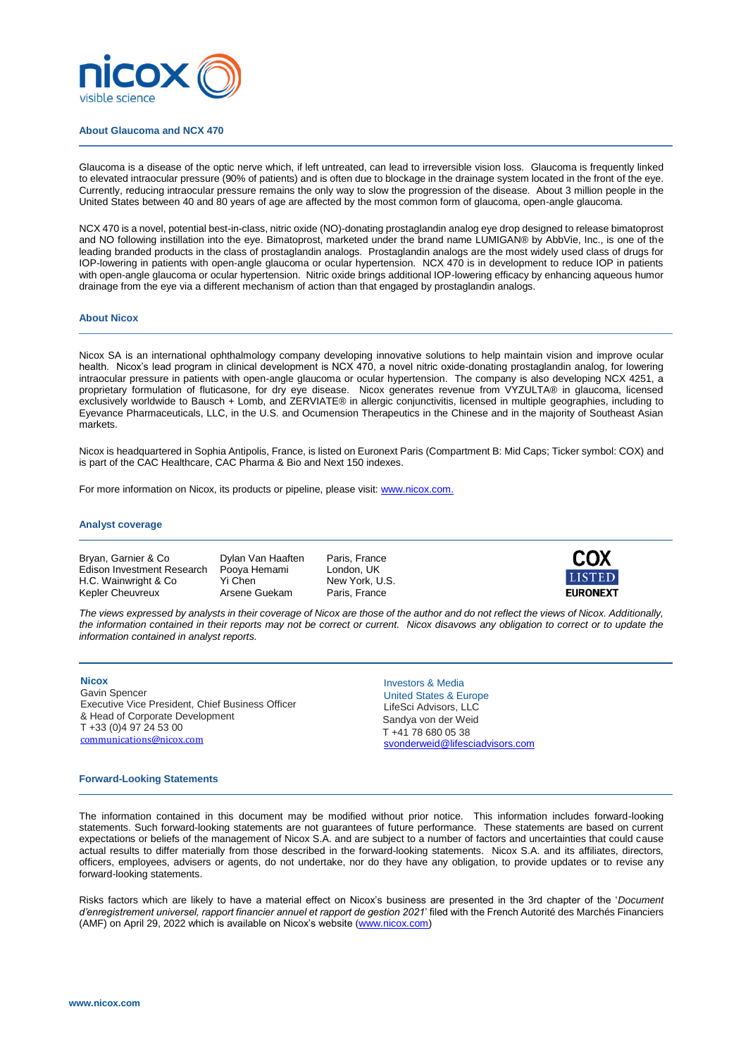

#### **About Glaucoma and NCX 470**

Glaucoma is a disease of the optic nerve which, if left untreated, can lead to irreversible vision loss. Glaucoma is frequently linked to elevated intraocular pressure (90% of patients) and is often due to blockage in the drainage system located in the front of the eye. Currently, reducing intraocular pressure remains the only way to slow the progression of the disease. About 3 million people in the United States between 40 and 80 years of age are affected by the most common form of glaucoma, open-angle glaucoma.

NCX 470 is a novel, potential best-in-class, nitric oxide (NO)-donating prostaglandin analog eye drop designed to release bimatoprost and NO following instillation into the eye. Bimatoprost, marketed under the brand name LUMIGAN® by AbbVie, Inc., is one of the leading branded products in the class of prostaglandin analogs. Prostaglandin analogs are the most widely used class of drugs for IOP-lowering in patients with open-angle glaucoma or ocular hypertension. NCX 470 is in development to reduce IOP in patients with open-angle glaucoma or ocular hypertension. Nitric oxide brings additional IOP-lowering efficacy by enhancing aqueous humor drainage from the eye via a different mechanism of action than that engaged by prostaglandin analogs.

#### **About Nicox**

Nicox SA is an international ophthalmology company developing innovative solutions to help maintain vision and improve ocular health. Nicox's lead program in clinical development is NCX 470, a novel nitric oxide-donating prostaglandin analog, for lowering intraocular pressure in patients with open-angle glaucoma or ocular hypertension. The company is also developing NCX 4251, a proprietary formulation of fluticasone, for dry eye disease. Nicox generates revenue from VYZULTA® in glaucoma, licensed exclusively worldwide to Bausch + Lomb, and ZERVIATE® in allergic conjunctivitis, licensed in multiple geographies, including to Eyevance Pharmaceuticals, LLC, in the U.S. and Ocumension Therapeutics in the Chinese and in the majority of Southeast Asian markets.

Nicox is headquartered in Sophia Antipolis, France, is listed on Euronext Paris (Compartment B: Mid Caps; Ticker symbol: COX) and is part of the CAC Healthcare, CAC Pharma & Bio and Next 150 indexes.

For more information on Nicox, its products or pipeline, please visit[: www.nicox.com.](http://www.nicox.com/)

#### **Analyst coverage**

Bryan, Garnier & Co Dylan Van Haaften Paris, France<br>Edison Investment Research Pooya Hemami London, UK Edison Investment Research Pooya Hemami London, UK<br>
H.C. Wainwright & Co Yi Chen New York, U.S. H.C. Wainwright & Co Kepler Cheuvreux **Arsene Guekam** Paris, France



*The views expressed by analysts in their coverage of Nicox are those of the author and do not reflect the views of Nicox. Additionally, the information contained in their reports may not be correct or current. Nicox disavows any obligation to correct or to update the information contained in analyst reports.*

#### **Nicox**

Gavin Spencer Executive Vice President, Chief Business Officer & Head of Corporate Development T +33 (0)4 97 24 53 00 [communications@nicox.com](mailto:communications@nicox.com) 

Investors & Media United States & Europe LifeSci Advisors, LLC Sandya von der Weid T +41 78 680 05 38 [svonderweid@lifesciadvisors.com](mailto:svonderweid@lifesciadvisors.com)

#### **Forward-Looking Statements**

The information contained in this document may be modified without prior notice. This information includes forward-looking statements. Such forward-looking statements are not guarantees of future performance. These statements are based on current expectations or beliefs of the management of Nicox S.A. and are subject to a number of factors and uncertainties that could cause actual results to differ materially from those described in the forward-looking statements. Nicox S.A. and its affiliates, directors, officers, employees, advisers or agents, do not undertake, nor do they have any obligation, to provide updates or to revise any forward-looking statements.

Risks factors which are likely to have a material effect on Nicox's business are presented in the 3rd chapter of the '*Document d'enregistrement universel, rapport financier annuel et rapport de gestion 2021*' filed with the French Autorité des Marchés Financiers (AMF) on April 29, 2022 which is available on Nicox's website [\(www.nicox.com\)](file:///C:/TempOffice/www.nicox.com)